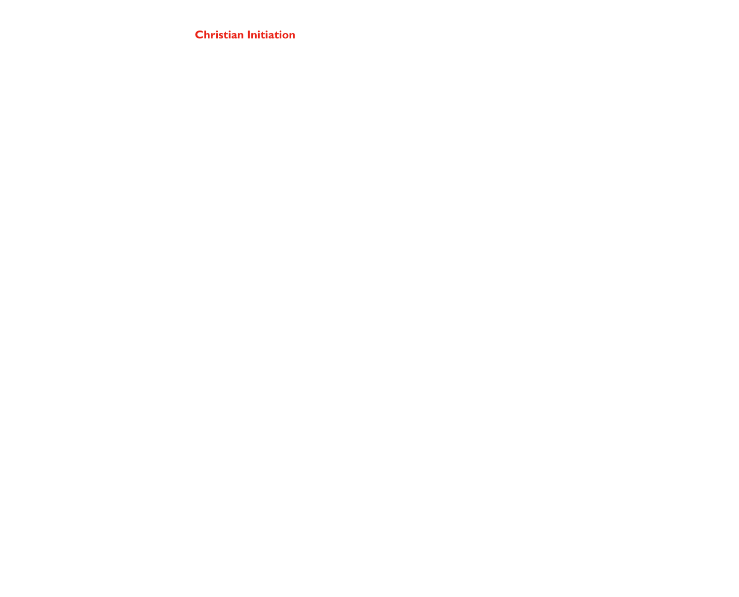**Christian Initiation**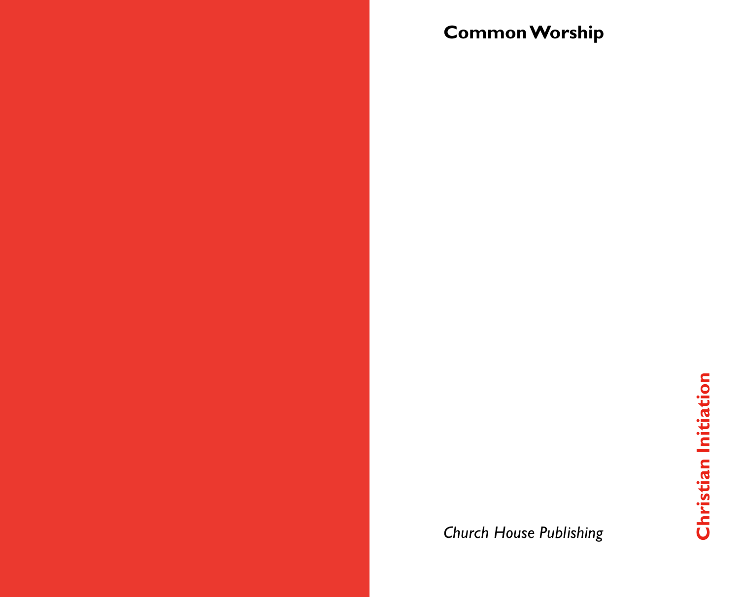# **Common Worship**

*Church House Publishing*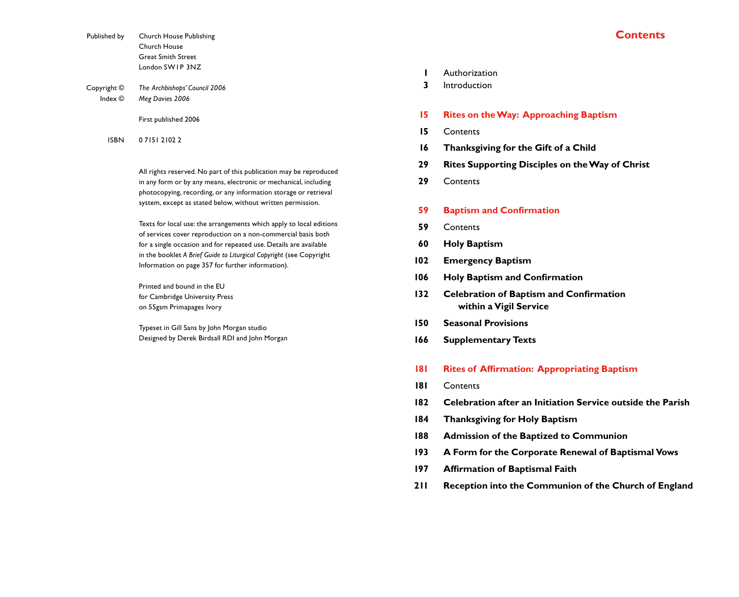Published by Church House Publishing Church House Great Smith Street London SW1P 3NZ

Copyright © *The Archbishops' Council 2006*  Index © *Meg Davies 2006* 

First published 2006

ISBN 0 7151 2102 2

All rights reserved. No part of this publication may be reproduced in any form or by any means, electronic or mechanical, including photocopying, recording, or any information storage or retrieval system, except as stated below, without written permission.

Texts for local use: the arrangements which apply to local editions of services cover reproduction on a non-commercial basis both for a single occasion and for repeated use. Details are available in the booklet *A Brief Guide to Liturgical Copyright* (see Copyright Information on page 357 for further information).

Printed and bound in the EU for Cambridge University Press on 55gsm Primapages Ivory

Typeset in Gill Sans by John Morgan studio Designed by Derek Birdsall RDI and John Morgan

#### **Contents**

- **1** Authorization
- **3** Introduction
- **15 Rites on the Way: Approaching Baptism**
- **15** Contents
- **16 Thanksgiving for the Gift of a Child**
- **29 Rites Supporting Disciples on the Way of Christ**
- **29** Contents
- **59 Baptism and Confirmation**
- **59** Contents
- **60 Holy Baptism**
- **102 Emergency Baptism**
- **106 Holy Baptism and Confirmation**
- **132 Celebration of Baptism and Confirmation within a Vigil Service**
- **150 Seasonal Provisions**
- **166 Supplementary Texts**
- **181 Rites of Affirmation: Appropriating Baptism**
- **181** Contents
- **182 Celebration after an Initiation Service outside the Parish**
- **184 Thanksgiving for Holy Baptism**
- **188 Admission of the Baptized to Communion**
- **193 A Form for the Corporate Renewal of Baptismal Vows**
- **197 Affirmation of Baptismal Faith**
- **211 Reception into the Communion of the Church of England**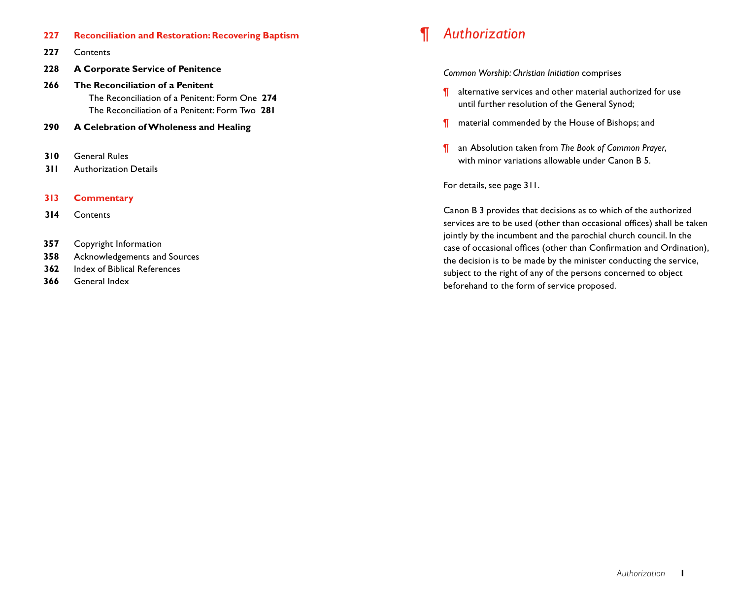#### **227 Reconciliation and Restoration: Recovering Baptism**

**227** Contents

- **228 A Corporate Service of Penitence**
- **266 The Reconciliation of a Penitent** The Reconciliation of a Penitent: Form One **274** The Reconciliation of a Penitent: Form Two **281**
- **290 A Celebration of Wholeness and Healing**
- **310** General Rules
- **311** Authorization Details

#### **313 Commentary**

- **314** Contents
- **357** Copyright Information
- **358** Acknowledgements and Sources
- **362** Index of Biblical References
- **366** General Index

# *¶ Authorization*

*Common Worship: Christian Initiation* comprises

- ¶ alternative services and other material authorized for use until further resolution of the General Synod;
- ¶ material commended by the House of Bishops; and
- ¶ an Absolution taken from *The Book of Common Prayer*, with minor variations allowable under Canon B 5.

For details, see page 311.

Canon B 3 provides that decisions as to which of the authorized services are to be used (other than occasional offices) shall be taken jointly by the incumbent and the parochial church council. In the case of occasional offices (other than Confirmation and Ordination), the decision is to be made by the minister conducting the service, subject to the right of any of the persons concerned to object beforehand to the form of service proposed.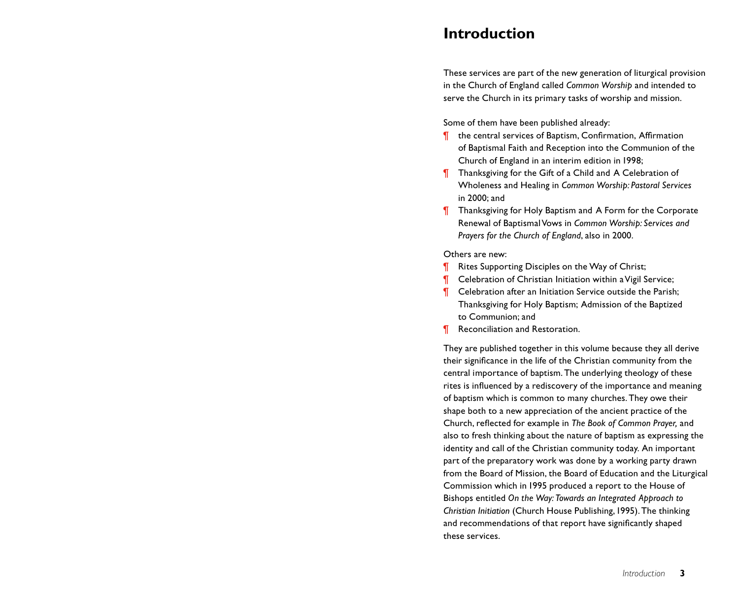# **Introduction**

These services are part of the new generation of liturgical provision in the Church of England called *Common Worship* and intended to serve the Church in its primary tasks of worship and mission.

Some of them have been published already:

- the central services of Baptism, Confirmation, Affirmation of Baptismal Faith and Reception into the Communion of the Church of England in an interim edition in 1998;
- **Thanksgiving for the Gift of a Child and A Celebration of** Wholeness and Healing in *Common Worship: Pastoral Services* in 2000; and
- **T** Thanksgiving for Holy Baptism and A Form for the Corporate Renewal of Baptismal Vows in *Common Worship: Services and Prayers for the Church of England*, also in 2000.

#### Others are new:

- Rites Supporting Disciples on the Way of Christ;
- Celebration of Christian Initiation within a Vigil Service;
- **T** Celebration after an Initiation Service outside the Parish; Thanksgiving for Holy Baptism; Admission of the Baptized to Communion; and
- **T** Reconciliation and Restoration.

They are published together in this volume because they all derive their significance in the life of the Christian community from the central importance of baptism. The underlying theology of these rites is influenced by a rediscovery of the importance and meaning of baptism which is common to many churches. They owe their shape both to a new appreciation of the ancient practice of the Church, reflected for example in *The Book of Common Prayer,* and also to fresh thinking about the nature of baptism as expressing the identity and call of the Christian community today. An important part of the preparatory work was done by a working party drawn from the Board of Mission, the Board of Education and the Liturgical Commission which in 1995 produced a report to the House of Bishops entitled *On the Way: Towards an Integrated Approach to Christian Initiation* (Church House Publishing,1995). The thinking and recommendations of that report have significantly shaped these services.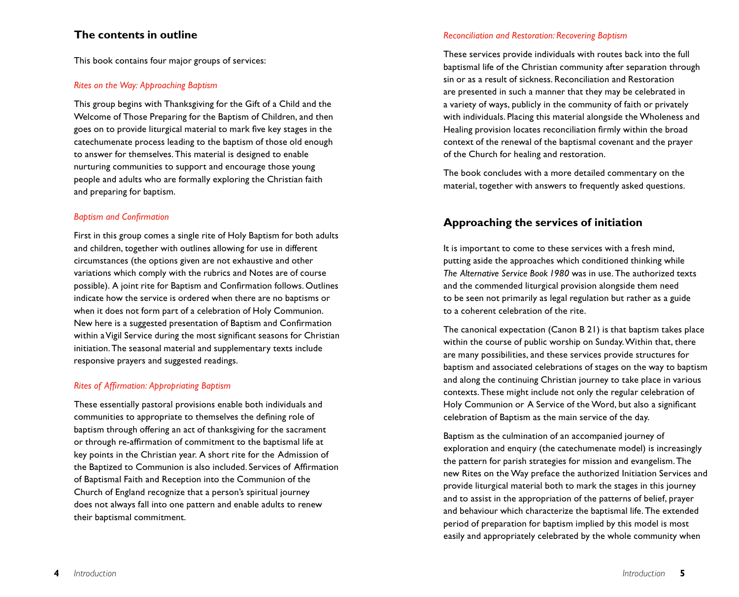## **The contents in outline**

This book contains four major groups of services:

#### *Rites on the Way: Approaching Baptism*

This group begins with Thanksgiving for the Gift of a Child and the Welcome of Those Preparing for the Baptism of Children, and then goes on to provide liturgical material to mark five key stages in the catechumenate process leading to the baptism of those old enough to answer for themselves. This material is designed to enable nurturing communities to support and encourage those young people and adults who are formally exploring the Christian faith and preparing for baptism.

#### *Baptism and Confirmation*

First in this group comes a single rite of Holy Baptism for both adults and children, together with outlines allowing for use in different circumstances (the options given are not exhaustive and other variations which comply with the rubrics and Notes are of course possible). A joint rite for Baptism and Confirmation follows. Outlines indicate how the service is ordered when there are no baptisms or when it does not form part of a celebration of Holy Communion. New here is a suggested presentation of Baptism and Confirmation within a Vigil Service during the most significant seasons for Christian initiation.The seasonal material and supplementary texts include responsive prayers and suggested readings.

#### *Rites of Affirmation: Appropriating Baptism*

These essentially pastoral provisions enable both individuals and communities to appropriate to themselves the defining role of baptism through offering an act of thanksgiving for the sacrament or through re-affirmation of commitment to the baptismal life at key points in the Christian year. A short rite for the Admission of the Baptized to Communion is also included. Services of Affirmation of Baptismal Faith and Reception into the Communion of the Church of England recognize that a person's spiritual journey does not always fall into one pattern and enable adults to renew their baptismal commitment.

#### *Reconciliation and Restoration: Recovering Baptism*

These services provide individuals with routes back into the full baptismal life of the Christian community after separation through sin or as a result of sickness. Reconciliation and Restoration are presented in such a manner that they may be celebrated in a variety of ways, publicly in the community of faith or privately with individuals. Placing this material alongside the Wholeness and Healing provision locates reconciliation firmly within the broad context of the renewal of the baptismal covenant and the prayer of the Church for healing and restoration.

The book concludes with a more detailed commentary on the material, together with answers to frequently asked questions.

## **Approaching the services of initiation**

It is important to come to these services with a fresh mind, putting aside the approaches which conditioned thinking while *The Alternative Service Book 1980* was in use.The authorized texts and the commended liturgical provision alongside them need to be seen not primarily as legal regulation but rather as a guide to a coherent celebration of the rite.

The canonical expectation (Canon B 21) is that baptism takes place within the course of public worship on Sunday.Within that, there are many possibilities, and these services provide structures for baptism and associated celebrations of stages on the way to baptism and along the continuing Christian journey to take place in various contexts. These might include not only the regular celebration of Holy Communion or A Service of the Word, but also a significant celebration of Baptism as the main service of the day.

Baptism as the culmination of an accompanied journey of exploration and enquiry (the catechumenate model) is increasingly the pattern for parish strategies for mission and evangelism. The new Rites on the Way preface the authorized Initiation Services and provide liturgical material both to mark the stages in this journey and to assist in the appropriation of the patterns of belief, prayer and behaviour which characterize the baptismal life. The extended period of preparation for baptism implied by this model is most easily and appropriately celebrated by the whole community when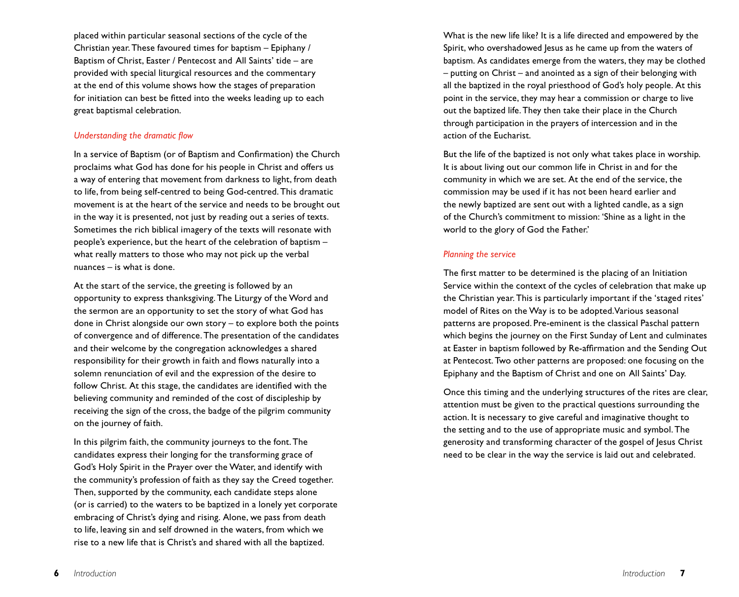placed within particular seasonal sections of the cycle of the Christian year. These favoured times for baptism – Epiphany / Baptism of Christ, Easter / Pentecost and All Saints' tide – are provided with special liturgical resources and the commentary at the end of this volume shows how the stages of preparation for initiation can best be fitted into the weeks leading up to each great baptismal celebration.

#### *Understanding the dramatic flow*

In a service of Baptism (or of Baptism and Confirmation) the Church proclaims what God has done for his people in Christ and offers us a way of entering that movement from darkness to light, from death to life, from being self-centred to being God-centred. This dramatic movement is at the heart of the service and needs to be brought out in the way it is presented, not just by reading out a series of texts. Sometimes the rich biblical imagery of the texts will resonate with people's experience, but the heart of the celebration of baptism – what really matters to those who may not pick up the verbal nuances – is what is done.

At the start of the service, the greeting is followed by an opportunity to express thanksgiving. The Liturgy of the Word and the sermon are an opportunity to set the story of what God has done in Christ alongside our own story – to explore both the points of convergence and of difference. The presentation of the candidates and their welcome by the congregation acknowledges a shared responsibility for their growth in faith and flows naturally into a solemn renunciation of evil and the expression of the desire to follow Christ. At this stage, the candidates are identified with the believing community and reminded of the cost of discipleship by receiving the sign of the cross, the badge of the pilgrim community on the journey of faith.

In this pilgrim faith, the community journeys to the font. The candidates express their longing for the transforming grace of God's Holy Spirit in the Prayer over the Water, and identify with the community's profession of faith as they say the Creed together. Then, supported by the community, each candidate steps alone (or is carried) to the waters to be baptized in a lonely yet corporate embracing of Christ's dying and rising. Alone, we pass from death to life, leaving sin and self drowned in the waters, from which we rise to a new life that is Christ's and shared with all the baptized.

What is the new life like? It is a life directed and empowered by the Spirit, who overshadowed lesus as he came up from the waters of baptism. As candidates emerge from the waters, they may be clothed – putting on Christ – and anointed as a sign of their belonging with all the baptized in the royal priesthood of God's holy people. At this point in the service, they may hear a commission or charge to live out the baptized life. They then take their place in the Church through participation in the prayers of intercession and in the action of the Eucharist.

But the life of the baptized is not only what takes place in worship. It is about living out our common life in Christ in and for the community in which we are set. At the end of the service, the commission may be used if it has not been heard earlier and the newly baptized are sent out with a lighted candle, as a sign of the Church's commitment to mission: 'Shine as a light in the world to the glory of God the Father.'

#### *Planning the service*

The first matter to be determined is the placing of an Initiation Service within the context of the cycles of celebration that make up the Christian year. This is particularly important if the 'staged rites' model of Rites on the Way is to be adopted.Various seasonal patterns are proposed. Pre-eminent is the classical Paschal pattern which begins the journey on the First Sunday of Lent and culminates at Easter in baptism followed by Re-affirmation and the Sending Out at Pentecost.Two other patterns are proposed: one focusing on the Epiphany and the Baptism of Christ and one on All Saints' Day.

Once this timing and the underlying structures of the rites are clear, attention must be given to the practical questions surrounding the action. It is necessary to give careful and imaginative thought to the setting and to the use of appropriate music and symbol. The generosity and transforming character of the gospel of Jesus Christ need to be clear in the way the service is laid out and celebrated.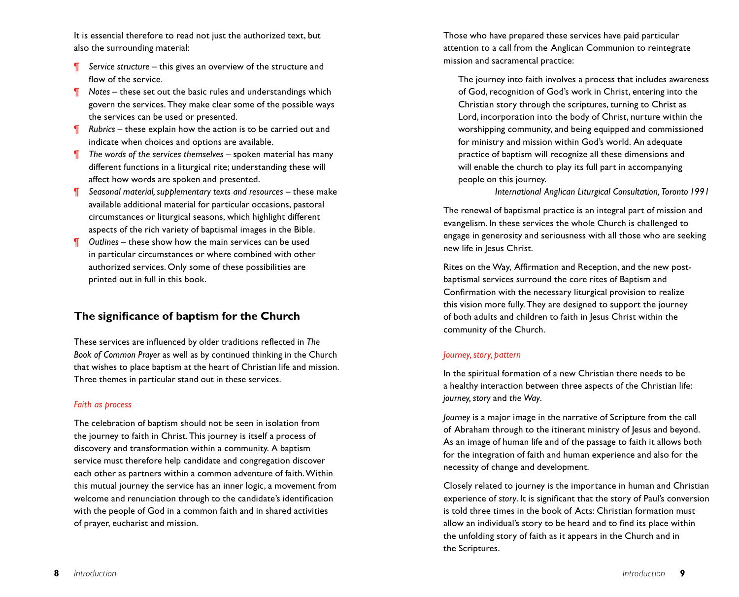It is essential therefore to read not just the authorized text, but also the surrounding material:

- ¶ *Service structure* this gives an overview of the structure and flow of the service.
- ¶ *Notes* these set out the basic rules and understandings which govern the services. They make clear some of the possible ways the services can be used or presented.
- ¶ *Rubrics* these explain how the action is to be carried out and indicate when choices and options are available.
- ¶ *The words of the services themselves* spoken material has many different functions in a liturgical rite; understanding these will affect how words are spoken and presented.
- ¶ *Seasonal material, supplementary texts and resources* these make available additional material for particular occasions, pastoral circumstances or liturgical seasons, which highlight different aspects of the rich variety of baptismal images in the Bible.
- ¶ *Outlines* these show how the main services can be used in particular circumstances or where combined with other authorized services. Only some of these possibilities are printed out in full in this book.

## **The significance of baptism for the Church**

These services are influenced by older traditions reflected in *The Book of Common Prayer* as well as by continued thinking in the Church that wishes to place baptism at the heart of Christian life and mission. Three themes in particular stand out in these services.

#### *Faith as process*

The celebration of baptism should not be seen in isolation from the journey to faith in Christ. This journey is itself a process of discovery and transformation within a community. A baptism service must therefore help candidate and congregation discover each other as partners within a common adventure of faith.Within this mutual journey the service has an inner logic, a movement from welcome and renunciation through to the candidate's identification with the people of God in a common faith and in shared activities of prayer, eucharist and mission.

Those who have prepared these services have paid particular attention to a call from the Anglican Communion to reintegrate mission and sacramental practice:

The journey into faith involves a process that includes awareness of God, recognition of God's work in Christ, entering into the Christian story through the scriptures, turning to Christ as Lord, incorporation into the body of Christ, nurture within the worshipping community, and being equipped and commissioned for ministry and mission within God's world. An adequate practice of baptism will recognize all these dimensions and will enable the church to play its full part in accompanying people on this journey.

*International Anglican Liturgical Consultation, Toronto 1991*

The renewal of baptismal practice is an integral part of mission and evangelism. In these services the whole Church is challenged to engage in generosity and seriousness with all those who are seeking new life in Jesus Christ.

Rites on the Way, Affirmation and Reception, and the new postbaptismal services surround the core rites of Baptism and Confirmation with the necessary liturgical provision to realize this vision more fully. They are designed to support the journey of both adults and children to faith in Jesus Christ within the community of the Church.

#### *Journey, story, pattern*

In the spiritual formation of a new Christian there needs to be a healthy interaction between three aspects of the Christian life: *journey,story* and *the Way*.

*Journey* is a major image in the narrative of Scripture from the call of Abraham through to the itinerant ministry of Jesus and beyond. As an image of human life and of the passage to faith it allows both for the integration of faith and human experience and also for the necessity of change and development.

Closely related to journey is the importance in human and Christian experience of *story*. It is significant that the story of Paul's conversion is told three times in the book of Acts: Christian formation must allow an individual's story to be heard and to find its place within the unfolding story of faith as it appears in the Church and in the Scriptures.